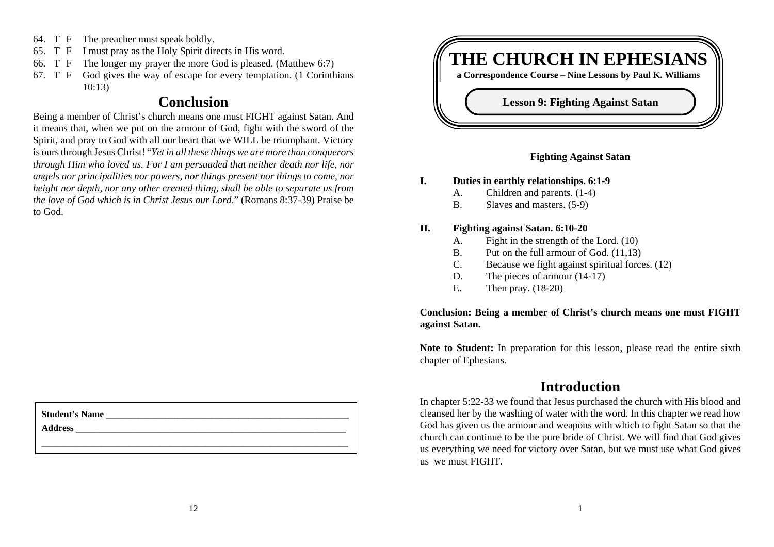- 64. T F The preacher must speak boldly.
- 65. T F I must pray as the Holy Spirit directs in His word.
- 66. T F The longer my prayer the more God is pleased. (Matthew 6:7)
- 67. T F God gives the way of escape for every temptation. (1 Corinthians 10:13)

# **Conclusion**

Being a member of Christ's church means one must FIGHT against Satan. And it means that, when we put on the armour of God, fight with the sword of the Spirit, and pray to God with all our heart that we WILL be triumphant. Victory is ours through Jesus Christ! "*Yet in all these things we are more than conquerors through Him who loved us. For I am persuaded that neither death nor life, nor angels nor principalities nor powers, nor things present nor things to come, nor height nor depth, nor any other created thing, shall be able to separate us from the love of God which is in Christ Jesus our Lord*." (Romans 8:37-39) Praise be to God.

| <b>Student's Name</b> |  |  |
|-----------------------|--|--|
| <b>Address</b>        |  |  |
|                       |  |  |



#### **Fighting Against Satan**

#### **I. Duties in earthly relationships. 6:1-9**

- A. Children and parents. (1-4)
- B. Slaves and masters. (5-9)

#### **II. Fighting against Satan. 6:10-20**

- A. Fight in the strength of the Lord. (10)
- B. Put on the full armour of God. (11,13)
- C. Because we fight against spiritual forces. (12)
- D. The pieces of armour  $(14-17)$
- E. Then pray. (18-20)

### **Conclusion: Being a member of Christ's church means one must FIGHT against Satan.**

**Note to Student:** In preparation for this lesson, please read the entire sixth chapter of Ephesians.

# **Introduction**

In chapter 5:22-33 we found that Jesus purchased the church with His blood and cleansed her by the washing of water with the word. In this chapter we read how God has given us the armour and weapons with which to fight Satan so that the church can continue to be the pure bride of Christ. We will find that God gives us everything we need for victory over Satan, but we must use what God gives us–we must FIGHT.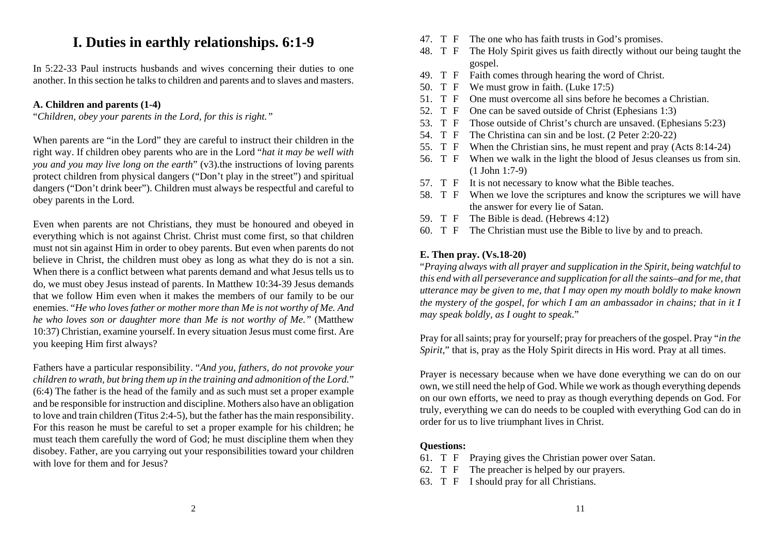# **I. Duties in earthly relationships. 6:1-9**

In 5:22-33 Paul instructs husbands and wives concerning their duties to one another. In this section he talks to children and parents and to slaves and masters.

# **A. Children and parents (1-4)**

"*Children, obey your parents in the Lord, for this is right."*

When parents are "in the Lord" they are careful to instruct their children in the right way. If children obey parents who are in the Lord "*hat it may be well with you and you may live long on the earth*" (v3).the instructions of loving parents protect children from physical dangers ("Don't play in the street") and spiritual dangers ("Don't drink beer"). Children must always be respectful and careful to obey parents in the Lord.

Even when parents are not Christians, they must be honoured and obeyed in everything which is not against Christ. Christ must come first, so that children must not sin against Him in order to obey parents. But even when parents do not believe in Christ, the children must obey as long as what they do is not a sin. When there is a conflict between what parents demand and what Jesus tells us to do, we must obey Jesus instead of parents. In Matthew 10:34-39 Jesus demands that we follow Him even when it makes the members of our family to be our enemies. "*He who loves father or mother more than Me is not worthy of Me. And he who loves son or daughter more than Me is not worthy of Me."* (Matthew 10:37) Christian, examine yourself. In every situation Jesus must come first. Are you keeping Him first always?

Fathers have a particular responsibility. "*And you, fathers, do not provoke your children to wrath, but bring them up in the training and admonition of the Lord.*" (6:4) The father is the head of the family and as such must set a proper example and be responsible for instruction and discipline. Mothers also have an obligation to love and train children (Titus 2:4-5), but the father has the main responsibility. For this reason he must be careful to set a proper example for his children; he must teach them carefully the word of God; he must discipline them when they disobey. Father, are you carrying out your responsibilities toward your children with love for them and for Jesus?

- 47. T F The one who has faith trusts in God's promises.
- 48. T F The Holy Spirit gives us faith directly without our being taught the gospel.
- 49. T F Faith comes through hearing the word of Christ.
- 50. T F We must grow in faith. (Luke 17:5)
- 51. T F One must overcome all sins before he becomes a Christian.
- 52. T F One can be saved outside of Christ (Ephesians 1:3)
- 53. T F Those outside of Christ's church are unsaved. (Ephesians 5:23)
- 54. T F The Christina can sin and be lost. (2 Peter 2:20-22)
- 55. T F When the Christian sins, he must repent and pray (Acts 8:14-24)
- 56. T F When we walk in the light the blood of Jesus cleanses us from sin. (1 John 1:7-9)
- 57. T F It is not necessary to know what the Bible teaches.
- 58. T F When we love the scriptures and know the scriptures we will have the answer for every lie of Satan.
- 59. T F The Bible is dead. (Hebrews 4:12)
- 60. T F The Christian must use the Bible to live by and to preach.

# **E. Then pray. (Vs.18-20)**

"*Praying always with all prayer and supplication in the Spirit, being watchful to this end with all perseverance and supplication for all the saints–and for me, that utterance may be given to me, that I may open my mouth boldly to make known the mystery of the gospel, for which I am an ambassador in chains; that in it I may speak boldly, as I ought to speak*."

Pray for all saints; pray for yourself; pray for preachers of the gospel. Pray "*in the Spirit*," that is, pray as the Holy Spirit directs in His word. Pray at all times.

Prayer is necessary because when we have done everything we can do on our own, we still need the help of God. While we work as though everything depends on our own efforts, we need to pray as though everything depends on God. For truly, everything we can do needs to be coupled with everything God can do in order for us to live triumphant lives in Christ.

## **Questions:**

- 61. T F Praying gives the Christian power over Satan.
- 62. T F The preacher is helped by our prayers.
- 63. T F I should pray for all Christians.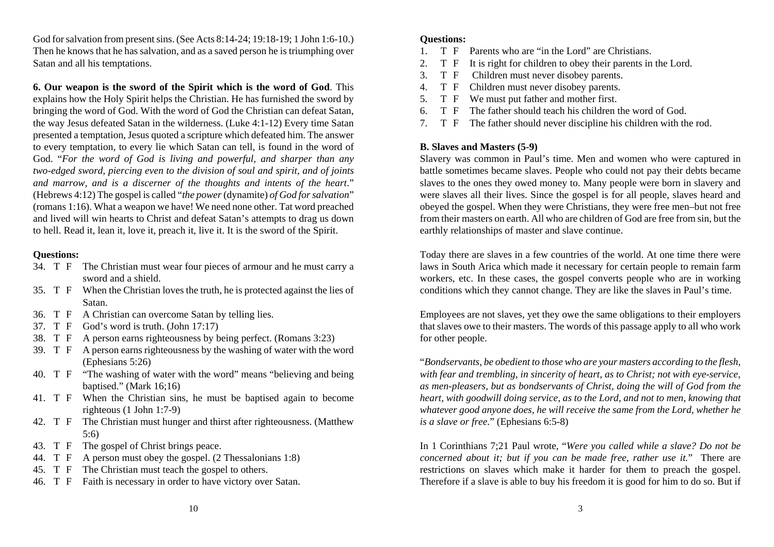God for salvation from present sins. (See Acts 8:14-24; 19:18-19; 1 John 1:6-10.) Then he knows that he has salvation, and as a saved person he is triumphing over Satan and all his temptations.

**6. Our weapon is the sword of the Spirit which is the word of God**. This explains how the Holy Spirit helps the Christian. He has furnished the sword by bringing the word of God. With the word of God the Christian can defeat Satan, the way Jesus defeated Satan in the wilderness. (Luke 4:1-12) Every time Satan presented a temptation, Jesus quoted a scripture which defeated him. The answer to every temptation, to every lie which Satan can tell, is found in the word of God. "*For the word of God is living and powerful, and sharper than any two-edged sword, piercing even to the division of soul and spirit, and of joints and marrow, and is a discerner of the thoughts and intents of the heart*." (Hebrews 4:12) The gospel is called "*the power* (dynamite) *of God for salvation*" (romans 1:16). What a weapon we have! We need none other. Tat word preached and lived will win hearts to Christ and defeat Satan's attempts to drag us down to hell. Read it, lean it, love it, preach it, live it. It is the sword of the Spirit.

#### **Questions:**

- 34. T F The Christian must wear four pieces of armour and he must carry a sword and a shield.
- 35. T F When the Christian loves the truth, he is protected against the lies of Satan.
- 36. T F A Christian can overcome Satan by telling lies.
- 37. T F God's word is truth. (John 17:17)
- 38. T F A person earns righteousness by being perfect. (Romans 3:23)
- 39. T F A person earns righteousness by the washing of water with the word (Ephesians 5:26)
- 40. T F "The washing of water with the word" means "believing and being baptised." (Mark 16;16)
- 41. T F When the Christian sins, he must be baptised again to become righteous (1 John 1:7-9)
- 42. T F The Christian must hunger and thirst after righteousness. (Matthew 5:6)
- 43. T F The gospel of Christ brings peace.
- 44. T F A person must obey the gospel. (2 Thessalonians 1:8)
- 45. T F The Christian must teach the gospel to others.
- 46. T F Faith is necessary in order to have victory over Satan.

#### **Questions:**

- 1. T F Parents who are "in the Lord" are Christians.
- 2. T F It is right for children to obey their parents in the Lord.
- 3. T F Children must never disobey parents.
- 4. T F Children must never disobey parents.
- 5. T F We must put father and mother first.
- 6. T F The father should teach his children the word of God.
- 7. T F The father should never discipline his children with the rod.

#### **B. Slaves and Masters (5-9)**

Slavery was common in Paul's time. Men and women who were captured in battle sometimes became slaves. People who could not pay their debts became slaves to the ones they owed money to. Many people were born in slavery and were slaves all their lives. Since the gospel is for all people, slaves heard and obeyed the gospel. When they were Christians, they were free men–but not free from their masters on earth. All who are children of God are free from sin, but the earthly relationships of master and slave continue.

Today there are slaves in a few countries of the world. At one time there were laws in South Arica which made it necessary for certain people to remain farm workers, etc. In these cases, the gospel converts people who are in working conditions which they cannot change. They are like the slaves in Paul's time.

Employees are not slaves, yet they owe the same obligations to their employers that slaves owe to their masters. The words of this passage apply to all who work for other people.

"*Bondservants, be obedient to those who are your masters according to the flesh, with fear and trembling, in sincerity of heart, as to Christ; not with eye-service, as men-pleasers, but as bondservants of Christ, doing the will of God from the heart, with goodwill doing service, as to the Lord, and not to men, knowing that whatever good anyone does, he will receive the same from the Lord, whether he is a slave or free*." (Ephesians 6:5-8)

In 1 Corinthians 7;21 Paul wrote, "*Were you called while a slave? Do not be concerned about it; but if you can be made free, rather use it.*" There are restrictions on slaves which make it harder for them to preach the gospel. Therefore if a slave is able to buy his freedom it is good for him to do so. But if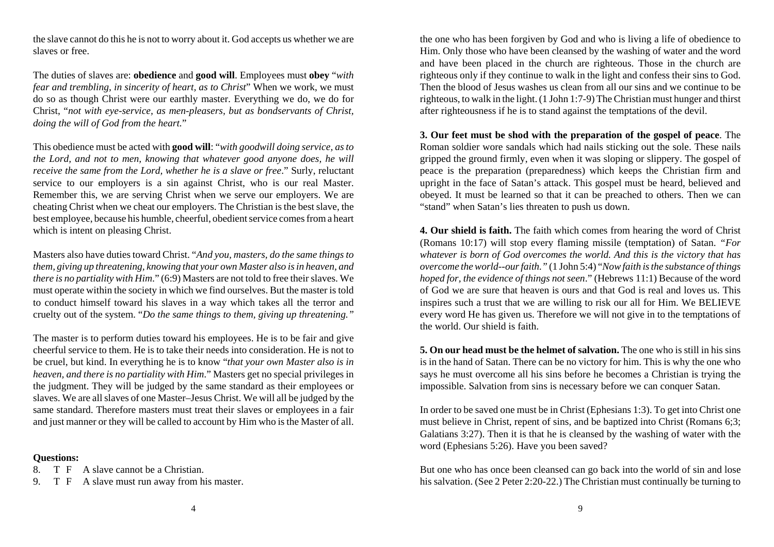the slave cannot do this he is not to worry about it. God accepts us whether we are slaves or free.

The duties of slaves are: **obedience** and **good will**. Employees must **obey** "*with fear and trembling, in sincerity of heart, as to Christ*" When we work, we must do so as though Christ were our earthly master. Everything we do, we do for Christ, "*not with eye-service, as men-pleasers, but as bondservants of Christ, doing the will of God from the heart.*"

This obedience must be acted with **good will**: "*with goodwill doing service, as to the Lord, and not to men, knowing that whatever good anyone does, he will receive the same from the Lord, whether he is a slave or free*." Surly, reluctant service to our employers is a sin against Christ, who is our real Master. Remember this, we are serving Christ when we serve our employers. We are cheating Christ when we cheat our employers. The Christian is the best slave, the best employee, because his humble, cheerful, obedient service comes from a heart which is intent on pleasing Christ.

Masters also have duties toward Christ. "*And you, masters, do the same things to them, giving up threatening, knowing that your own Master also is in heaven, and there is no partiality with Him*." (6:9) Masters are not told to free their slaves. We must operate within the society in which we find ourselves. But the master is told to conduct himself toward his slaves in a way which takes all the terror and cruelty out of the system. "*Do the same things to them, giving up threatening."*

The master is to perform duties toward his employees. He is to be fair and give cheerful service to them. He is to take their needs into consideration. He is not to be cruel, but kind. In everything he is to know "*that your own Master also is in heaven, and there is no partiality with Him*." Masters get no special privileges in the judgment. They will be judged by the same standard as their employees or slaves. We are all slaves of one Master–Jesus Christ. We will all be judged by the same standard. Therefore masters must treat their slaves or employees in a fair and just manner or they will be called to account by Him who is the Master of all.

#### **Questions:**

- 8. T F A slave cannot be a Christian.
- 9. T F A slave must run away from his master.

the one who has been forgiven by God and who is living a life of obedience to Him. Only those who have been cleansed by the washing of water and the word and have been placed in the church are righteous. Those in the church are righteous only if they continue to walk in the light and confess their sins to God. Then the blood of Jesus washes us clean from all our sins and we continue to berighteous, to walk in the light. (1 John 1:7-9) The Christian must hunger and thirst after righteousness if he is to stand against the temptations of the devil.

**3. Our feet must be shod with the preparation of the gospel of peace**. The Roman soldier wore sandals which had nails sticking out the sole. These nails gripped the ground firmly, even when it was sloping or slippery. The gospel of peace is the preparation (preparedness) which keeps the Christian firm and upright in the face of Satan's attack. This gospel must be heard, believed and obeyed. It must be learned so that it can be preached to others. Then we can "stand" when Satan's lies threaten to push us down.

**4. Our shield is faith.** The faith which comes from hearing the word of Christ (Romans 10:17) will stop every flaming missile (temptation) of Satan. *"For whatever is born of God overcomes the world. And this is the victory that has overcome the world--our faith."* (1 John 5:4) "*Now faith is the substance of things hoped for, the evidence of things not seen*." (Hebrews 11:1) Because of the word of God we are sure that heaven is ours and that God is real and loves us. This inspires such a trust that we are willing to risk our all for Him. We BELIEVE every word He has given us. Therefore we will not give in to the temptations of the world. Our shield is faith.

**5. On our head must be the helmet of salvation.** The one who is still in his sins is in the hand of Satan. There can be no victory for him. This is why the one who says he must overcome all his sins before he becomes a Christian is trying the impossible. Salvation from sins is necessary before we can conquer Satan.

In order to be saved one must be in Christ (Ephesians 1:3). To get into Christ one must believe in Christ, repent of sins, and be baptized into Christ (Romans 6;3; Galatians 3:27). Then it is that he is cleansed by the washing of water with the word (Ephesians 5:26). Have you been saved?

But one who has once been cleansed can go back into the world of sin and lose his salvation. (See 2 Peter 2:20-22.) The Christian must continually be turning to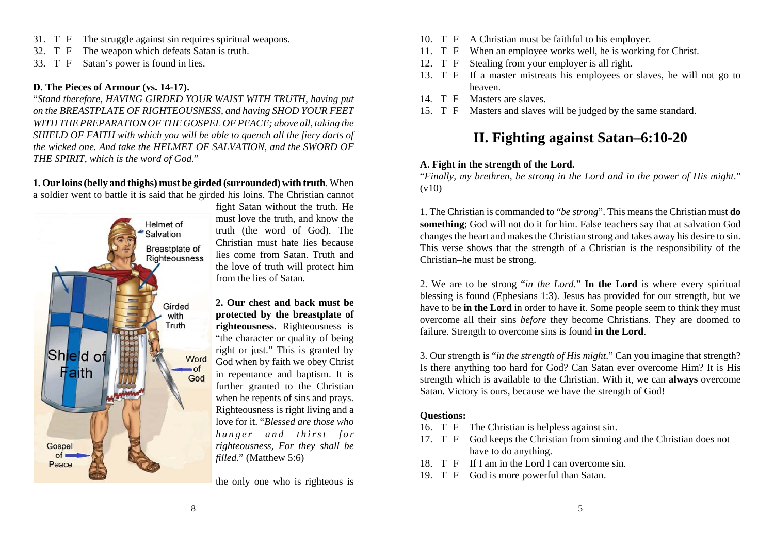- 31. T F The struggle against sin requires spiritual weapons.
- 32. T F The weapon which defeats Satan is truth.
- 33. T F Satan's power is found in lies.

### **D. The Pieces of Armour (vs. 14-17).**

"*Stand therefore, HAVING GIRDED YOUR WAIST WITH TRUTH, having put on the BREASTPLATE OF RIGHTEOUSNESS, and having SHOD YOUR FEET WITH THE PREPARATION OF THE GOSPEL OF PEACE; above all, taking the SHIELD OF FAITH with which you will be able to quench all the fiery darts of the wicked one. And take the HELMET OF SALVATION, and the SWORD OF THE SPIRIT, which is the word of God*."

**1. Our loins (belly and thighs) must be girded (surrounded) with truth**. When a soldier went to battle it is said that he girded his loins. The Christian cannot



fight Satan without the truth. He must love the truth, and know the truth (the word of God). The Christian must hate lies becauselies come from Satan. Truth and the love of truth will protect him from the lies of Satan.

**2. Our chest and back must beprotected by the breastplate of righteousness.** Righteousness is "the character or quality of being right or just." This is granted by God when by faith we obey Christ in repentance and baptism. It is further granted to the Christian when he repents of sins and prays. Righteousness is right living and a love for it. "*Blessed are those whohunger and thirst for righteousness, For they shall be filled*." (Matthew 5:6)

the only one who is righteous is

- 10. T F A Christian must be faithful to his employer.
- 11. T F When an employee works well, he is working for Christ.
- 12. T F Stealing from your employer is all right.
- 13. T F If a master mistreats his employees or slaves, he will not go to heaven.
- 14. T F Masters are slaves.
- 15. T F Masters and slaves will be judged by the same standard.

# **II. Fighting against Satan–6:10-20**

## **A. Fight in the strength of the Lord.**

"*Finally, my brethren, be strong in the Lord and in the power of His might*."  $(v10)$ 

1. The Christian is commanded to "*be strong*". This means the Christian must **do something**; God will not do it for him. False teachers say that at salvation God changes the heart and makes the Christian strong and takes away his desire to sin. This verse shows that the strength of a Christian is the responsibility of the Christian–he must be strong.

2. We are to be strong "*in the Lord*." **In the Lord** is where every spiritual blessing is found (Ephesians 1:3). Jesus has provided for our strength, but we have to be **in the Lord** in order to have it. Some people seem to think they must overcome all their sins *before* they become Christians. They are doomed to failure. Strength to overcome sins is found **in the Lord**.

3. Our strength is "*in the strength of His might*." Can you imagine that strength? Is there anything too hard for God? Can Satan ever overcome Him? It is His strength which is available to the Christian. With it, we can **always** overcome Satan. Victory is ours, because we have the strength of God!

## **Questions:**

- 16. T F The Christian is helpless against sin.
- 17. T F God keeps the Christian from sinning and the Christian does not have to do anything.
- 18. T F If I am in the Lord I can overcome sin.
- 19. T F God is more powerful than Satan.